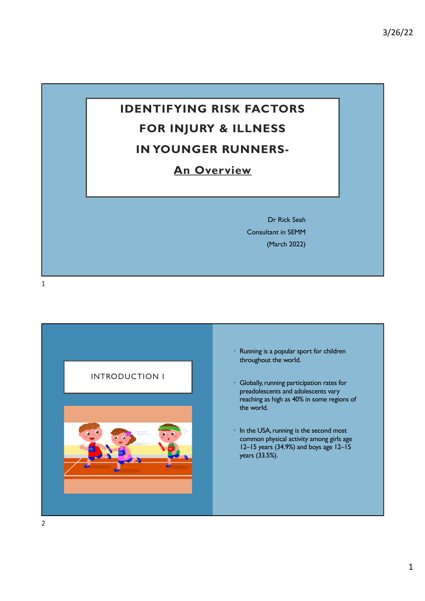# **IDENTIFYING RISK FACTORS FOR INJURY & ILLNESS IN YOUNGER RUNNERS-**

## **An Overview**

Dr Rick Seah Consultant in SEMM (March 2022)

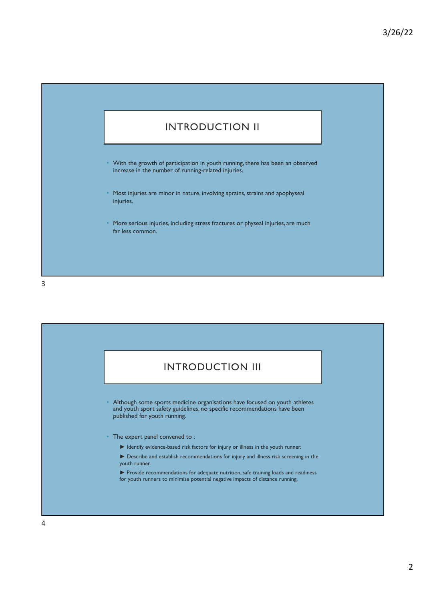

- With the growth of participation in youth running, there has been an observed increase in the number of running-related injuries.
- Most injuries are minor in nature, involving sprains, strains and apophyseal injuries.
- More serious injuries, including stress fractures or physeal injuries, are much far less common.

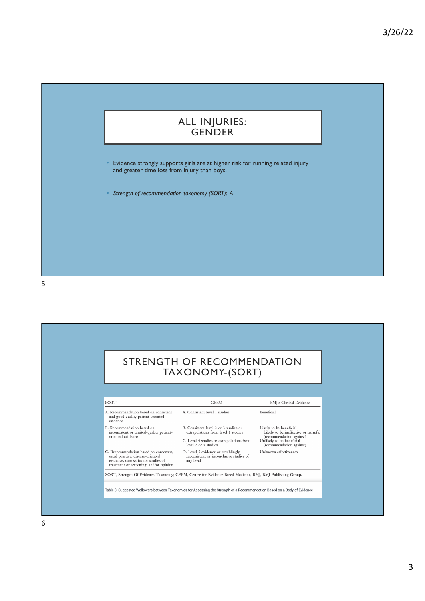#### ALL INJURIES: GENDER

• Evidence strongly supports girls are at higher risk for running related injury and greater time loss from injury than boys.

• *Strength of recommendation taxonomy (SORT): A*

5

#### STRENGTH OF RECOMMENDATION TAXONOMY-(SORT) SORT BMJ's Clinical Evidence **CEBM** A. Recommendation based on consistent<br>and good quality patient-oriented<br>evidence A. Consistent level 1 studies Beneficial Likely to be beneficial<br>Likely to be ineffective or harmful<br>(recommendation against)<br>Unlikely to be beneficial<br>(recommendation against) B. Recommendation based on<br>inconsistent or limited-quality patient-<br>oriented evidence B. Consistent level 2 or 3 studies or<br>extrapolations from level 1 studies C. Level 4 studies or extrapolations from<br>level 2 or 3 studies level 2 or 3 studies<br>D. Level 5 evidence or troublingly<br>inconsistent or inconclusive studies of<br>any level C. Recommendation based on consensus,<br>usual practice, disease-oriented<br>evidence, case series for studies of<br>treatment or screening, and/or opinion Unknown effectiveness SORT, Strength Of Evidence Taxonomy; CEBM, Centre for Evidence-Based Medicine; BMJ, BMJ Publishing Group. Table 3. Suggested Walkovers between Taxonomies for Assessing the Strength of a Recommendation Based on a Body of Evidence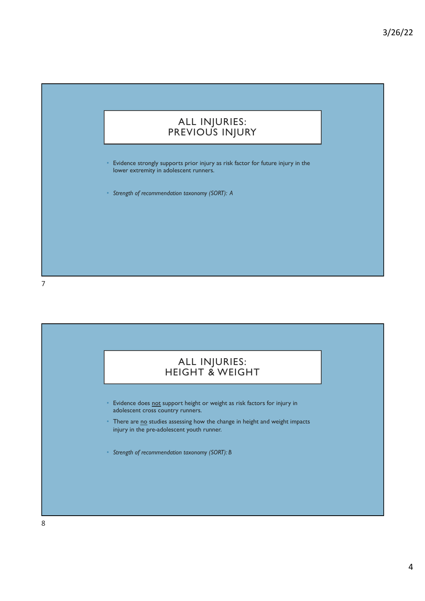#### ALL INJURIES: PREVIOUS INJURY

• Evidence strongly supports prior injury as risk factor for future injury in the lower extremity in adolescent runners.

• *Strength of recommendation taxonomy (SORT): A*

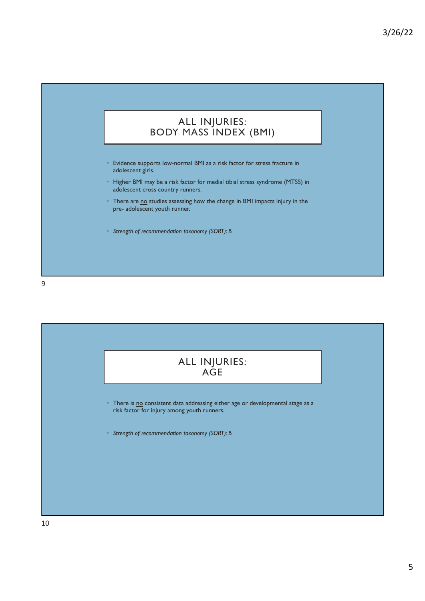#### ALL INJURIES: BODY MASS INDEX (BMI)

- Evidence supports low-normal BMI as a risk factor for stress fracture in adolescent girls.
- Higher BMI may be a risk factor for medial tibial stress syndrome (MTSS) in adolescent cross country runners.
- There are no studies assessing how the change in BMI impacts injury in the pre- adolescent youth runner.
- *Strength of recommendation taxonomy (SORT): B*

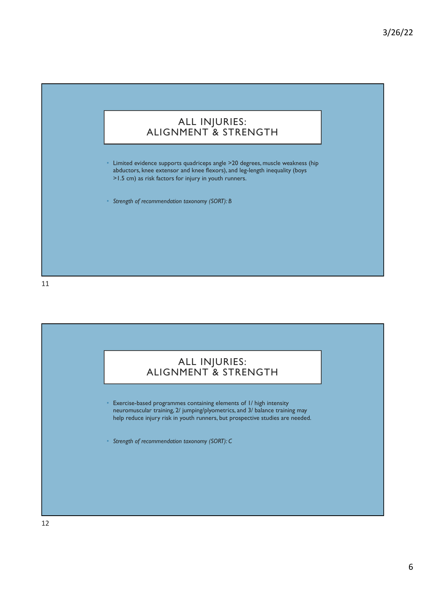#### ALL INJURIES: ALIGNMENT & STRENGTH

• Limited evidence supports quadriceps angle >20 degrees, muscle weakness (hip abductors, knee extensor and knee flexors), and leg-length inequality (boys >1.5 cm) as risk factors for injury in youth runners.

• *Strength of recommendation taxonomy (SORT): B*

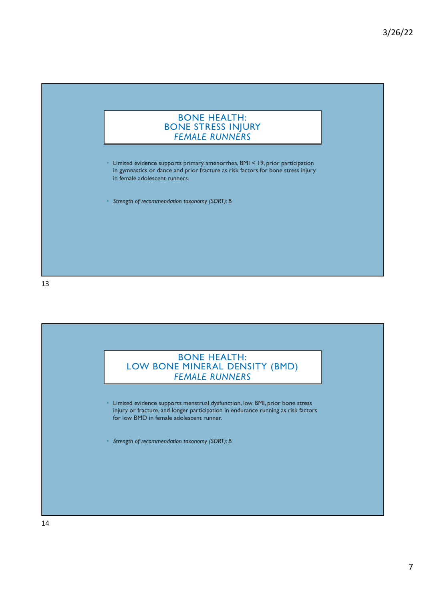

• Limited evidence supports primary amenorrhea, BMI < 19, prior participation in gymnastics or dance and prior fracture as risk factors for bone stress injury in female adolescent runners.

• *Strength of recommendation taxonomy (SORT): B*

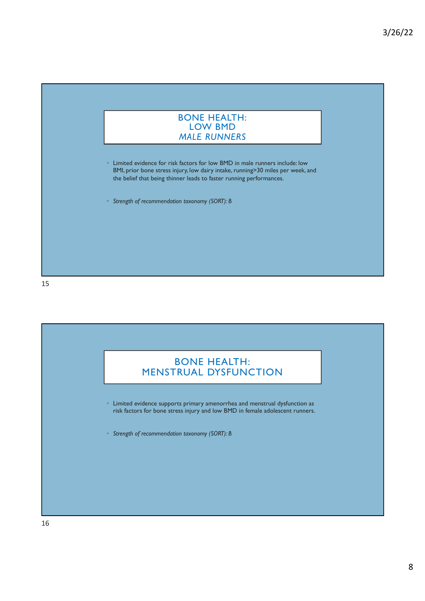

• Limited evidence for risk factors for low BMD in male runners include: low BMI, prior bone stress injury, low dairy intake, running>30 miles per week, and the belief that being thinner leads to faster running performances.

• *Strength of recommendation taxonomy (SORT): B*